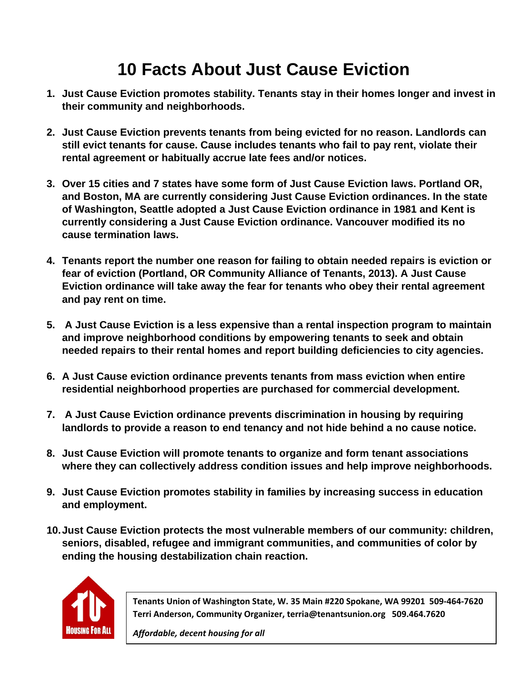# **10 Facts About Just Cause Eviction**

- **1. Just Cause Eviction promotes stability. Tenants stay in their homes longer and invest in their community and neighborhoods.**
- **2. Just Cause Eviction prevents tenants from being evicted for no reason. Landlords can still evict tenants for cause. Cause includes tenants who fail to pay rent, violate their rental agreement or habitually accrue late fees and/or notices.**
- **3. Over 15 cities and 7 states have some form of Just Cause Eviction laws. Portland OR, and Boston, MA are currently considering Just Cause Eviction ordinances. In the state of Washington, Seattle adopted a Just Cause Eviction ordinance in 1981 and Kent is currently considering a Just Cause Eviction ordinance. Vancouver modified its no cause termination laws.**
- **4. Tenants report the number one reason for failing to obtain needed repairs is eviction or fear of eviction (Portland, OR Community Alliance of Tenants, 2013). A Just Cause Eviction ordinance will take away the fear for tenants who obey their rental agreement and pay rent on time.**
- **5. A Just Cause Eviction is a less expensive than a rental inspection program to maintain and improve neighborhood conditions by empowering tenants to seek and obtain needed repairs to their rental homes and report building deficiencies to city agencies.**
- **6. A Just Cause eviction ordinance prevents tenants from mass eviction when entire residential neighborhood properties are purchased for commercial development.**
- **7. A Just Cause Eviction ordinance prevents discrimination in housing by requiring landlords to provide a reason to end tenancy and not hide behind a no cause notice.**
- **8. Just Cause Eviction will promote tenants to organize and form tenant associations where they can collectively address condition issues and help improve neighborhoods.**
- **9. Just Cause Eviction promotes stability in families by increasing success in education and employment.**
- **10. Just Cause Eviction protects the most vulnerable members of our community: children, seniors, disabled, refugee and immigrant communities, and communities of color by ending the housing destabilization chain reaction.**



**Tenants Union of Washington State, W. 35 Main #220 Spokane, WA 99201 509‐464‐7620 Terri Anderson, Community Organizer, terria@tenantsunion.org 509.464.7620** 

*Affordable, decent housing for all*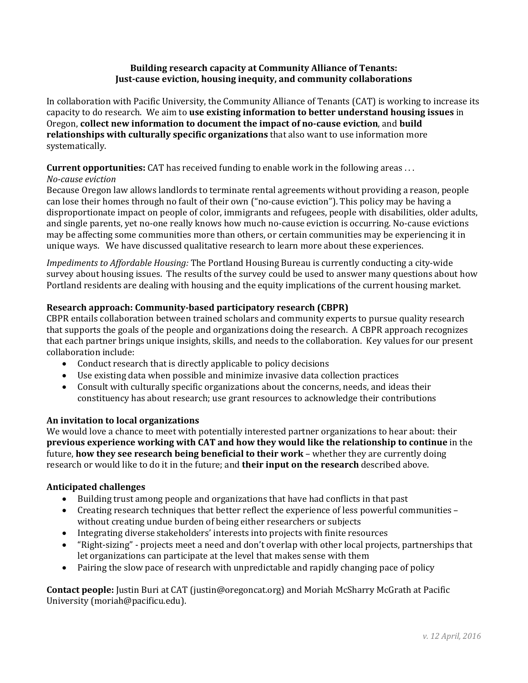#### **Building research capacity at Community Alliance of Tenants: Just-cause eviction, housing inequity, and community collaborations**

In collaboration with Pacific University, the Community Alliance of Tenants (CAT) is working to increase its capacity to do research. We aim to **use existing information to better understand housing issues** in Oregon, **collect new information to document the impact of no-cause eviction**, and **build relationships with culturally specific organizations** that also want to use information more systematically.

#### **Current opportunities:** CAT has received funding to enable work in the following areas . . .

#### *No-cause eviction*

Because Oregon law allows landlords to terminate rental agreements without providing a reason, people can lose their homes through no fault of their own ("no-cause eviction"). This policy may be having a disproportionate impact on people of color, immigrants and refugees, people with disabilities, older adults, and single parents, yet no-one really knows how much no-cause eviction is occurring. No-cause evictions may be affecting some communities more than others, or certain communities may be experiencing it in unique ways. We have discussed qualitative research to learn more about these experiences.

*Impediments to Affordable Housing:* The Portland Housing Bureau is currently conducting a city-wide survey about housing issues. The results of the survey could be used to answer many questions about how Portland residents are dealing with housing and the equity implications of the current housing market.

#### **Research approach: Community-based participatory research (CBPR)**

CBPR entails collaboration between trained scholars and community experts to pursue quality research that supports the goals of the people and organizations doing the research. A CBPR approach recognizes that each partner brings unique insights, skills, and needs to the collaboration. Key values for our present collaboration include:

- Conduct research that is directly applicable to policy decisions
- Use existing data when possible and minimize invasive data collection practices
- Consult with culturally specific organizations about the concerns, needs, and ideas their constituency has about research; use grant resources to acknowledge their contributions

#### **An invitation to local organizations**

We would love a chance to meet with potentially interested partner organizations to hear about: their **previous experience working with CAT and how they would like the relationship to continue** in the future, **how they see research being beneficial to their work** – whether they are currently doing research or would like to do it in the future; and **their input on the research** described above.

#### **Anticipated challenges**

- Building trust among people and organizations that have had conflicts in that past
- Creating research techniques that better reflect the experience of less powerful communities without creating undue burden of being either researchers or subjects
- Integrating diverse stakeholders' interests into projects with finite resources
- "Right-sizing" projects meet a need and don't overlap with other local projects, partnerships that let organizations can participate at the level that makes sense with them
- Pairing the slow pace of research with unpredictable and rapidly changing pace of policy

**Contact people:** Justin Buri at CAT (justin@oregoncat.org) and Moriah McSharry McGrath at Pacific University (moriah@pacificu.edu).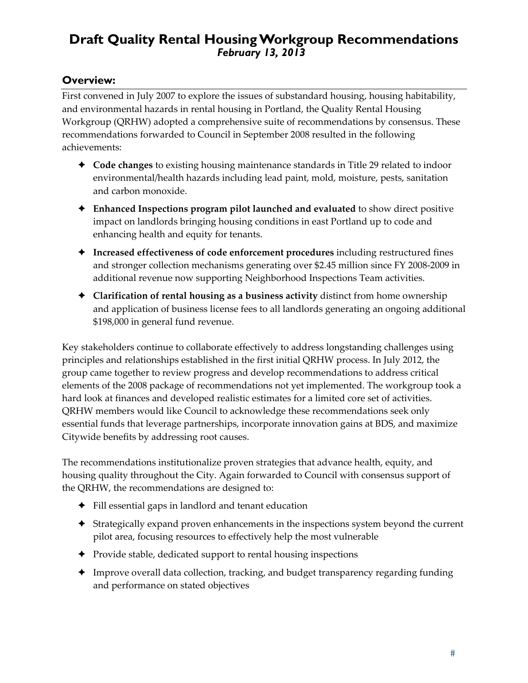# **Draft Quality Rental Housing Workgroup Recommendations**  *February 13, 2013*

# **Overview:**

First convened in July 2007 to explore the issues of substandard housing, housing habitability, and environmental hazards in rental housing in Portland, the Quality Rental Housing Workgroup (QRHW) adopted a comprehensive suite of recommendations by consensus. These recommendations forwarded to Council in September 2008 resulted in the following achievements:

- **Code changes** to existing housing maintenance standards in Title 29 related to indoor environmental/health hazards including lead paint, mold, moisture, pests, sanitation and carbon monoxide.
- **Enhanced Inspections program pilot launched and evaluated** to show direct positive impact on landlords bringing housing conditions in east Portland up to code and enhancing health and equity for tenants.
- **Increased effectiveness of code enforcement procedures** including restructured fines and stronger collection mechanisms generating over \$2.45 million since FY 2008‐2009 in additional revenue now supporting Neighborhood Inspections Team activities.
- **Clarification of rental housing as a business activity** distinct from home ownership and application of business license fees to all landlords generating an ongoing additional \$198,000 in general fund revenue.

Key stakeholders continue to collaborate effectively to address longstanding challenges using principles and relationships established in the first initial QRHW process. In July 2012, the group came together to review progress and develop recommendations to address critical elements of the 2008 package of recommendations not yet implemented. The workgroup took a hard look at finances and developed realistic estimates for a limited core set of activities. QRHW members would like Council to acknowledge these recommendations seek only essential funds that leverage partnerships, incorporate innovation gains at BDS, and maximize Citywide benefits by addressing root causes.

The recommendations institutionalize proven strategies that advance health, equity, and housing quality throughout the City. Again forwarded to Council with consensus support of the QRHW, the recommendations are designed to:

- Fill essential gaps in landlord and tenant education
- Strategically expand proven enhancements in the inspections system beyond the current pilot area, focusing resources to effectively help the most vulnerable
- Provide stable, dedicated support to rental housing inspections
- Improve overall data collection, tracking, and budget transparency regarding funding and performance on stated objectives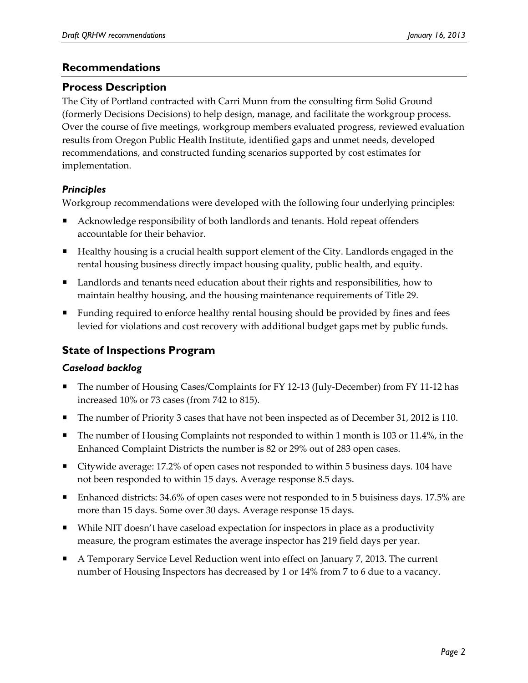# **Recommendations**

# **Process Description**

The City of Portland contracted with Carri Munn from the consulting firm Solid Ground (formerly Decisions Decisions) to help design, manage, and facilitate the workgroup process. Over the course of five meetings, workgroup members evaluated progress, reviewed evaluation results from Oregon Public Health Institute, identified gaps and unmet needs, developed recommendations, and constructed funding scenarios supported by cost estimates for implementation.

# *Principles*

Workgroup recommendations were developed with the following four underlying principles:

- Acknowledge responsibility of both landlords and tenants. Hold repeat offenders accountable for their behavior.
- Healthy housing is a crucial health support element of the City. Landlords engaged in the rental housing business directly impact housing quality, public health, and equity.
- Landlords and tenants need education about their rights and responsibilities, how to maintain healthy housing, and the housing maintenance requirements of Title 29.
- **Funding required to enforce healthy rental housing should be provided by fines and fees** levied for violations and cost recovery with additional budget gaps met by public funds.

# **State of Inspections Program**

# *Caseload backlog*

- The number of Housing Cases/Complaints for FY 12‐13 (July‐December) from FY 11‐12 has increased 10% or 73 cases (from 742 to 815).
- The number of Priority 3 cases that have not been inspected as of December 31, 2012 is 110.
- The number of Housing Complaints not responded to within 1 month is 103 or 11.4%, in the Enhanced Complaint Districts the number is 82 or 29% out of 283 open cases.
- Citywide average: 17.2% of open cases not responded to within 5 business days. 104 have not been responded to within 15 days. Average response 8.5 days.
- Enhanced districts: 34.6% of open cases were not responded to in 5 buisiness days. 17.5% are more than 15 days. Some over 30 days. Average response 15 days.
- While NIT doesn't have caseload expectation for inspectors in place as a productivity measure, the program estimates the average inspector has 219 field days per year.
- A Temporary Service Level Reduction went into effect on January 7, 2013. The current number of Housing Inspectors has decreased by 1 or 14% from 7 to 6 due to a vacancy.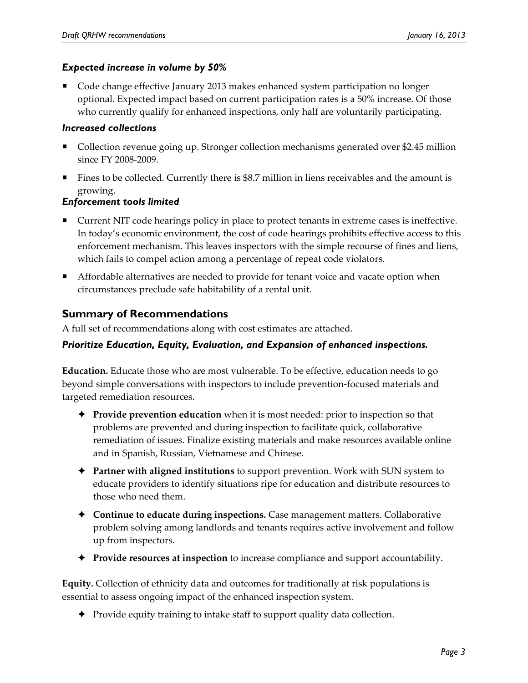#### *Expected increase in volume by 50%*

 Code change effective January 2013 makes enhanced system participation no longer optional. Expected impact based on current participation rates is a 50% increase. Of those who currently qualify for enhanced inspections, only half are voluntarily participating.

#### *Increased collections*

- Collection revenue going up. Stronger collection mechanisms generated over \$2.45 million since FY 2008‐2009.
- Fines to be collected. Currently there is \$8.7 million in liens receivables and the amount is growing.

# *Enforcement tools limited*

- Current NIT code hearings policy in place to protect tenants in extreme cases is ineffective. In today's economic environment, the cost of code hearings prohibits effective access to this enforcement mechanism. This leaves inspectors with the simple recourse of fines and liens, which fails to compel action among a percentage of repeat code violators.
- **A** Affordable alternatives are needed to provide for tenant voice and vacate option when circumstances preclude safe habitability of a rental unit.

# **Summary of Recommendations**

A full set of recommendations along with cost estimates are attached.

# *Prioritize Education, Equity, Evaluation, and Expansion of enhanced inspections.*

**Education.** Educate those who are most vulnerable. To be effective, education needs to go beyond simple conversations with inspectors to include prevention‐focused materials and targeted remediation resources.

- **Provide prevention education** when it is most needed: prior to inspection so that problems are prevented and during inspection to facilitate quick, collaborative remediation of issues. Finalize existing materials and make resources available online and in Spanish, Russian, Vietnamese and Chinese.
- **Partner with aligned institutions** to support prevention. Work with SUN system to educate providers to identify situations ripe for education and distribute resources to those who need them.
- **Continue to educate during inspections.** Case management matters. Collaborative problem solving among landlords and tenants requires active involvement and follow up from inspectors.
- **Provide resources at inspection** to increase compliance and support accountability.

**Equity.** Collection of ethnicity data and outcomes for traditionally at risk populations is essential to assess ongoing impact of the enhanced inspection system.

◆ Provide equity training to intake staff to support quality data collection.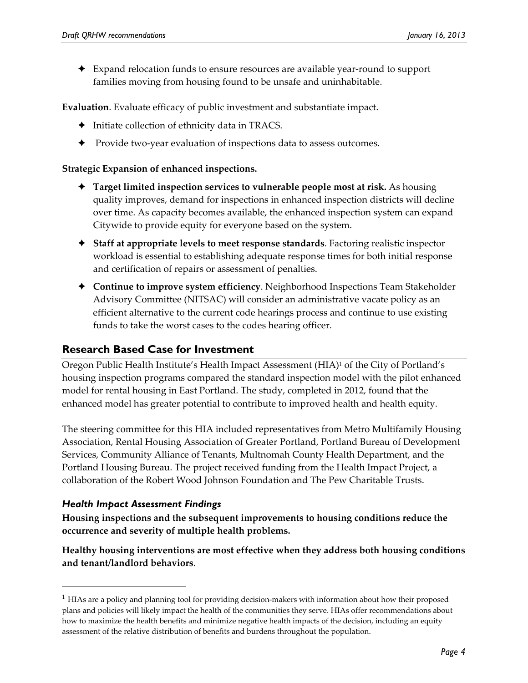Expand relocation funds to ensure resources are available year‐round to support families moving from housing found to be unsafe and uninhabitable.

**Evaluation**. Evaluate efficacy of public investment and substantiate impact.

- $\blacklozenge$  Initiate collection of ethnicity data in TRACS.
- ◆ Provide two-year evaluation of inspections data to assess outcomes.

#### **Strategic Expansion of enhanced inspections.**

- **Target limited inspection services to vulnerable people most at risk.** As housing quality improves, demand for inspections in enhanced inspection districts will decline over time. As capacity becomes available, the enhanced inspection system can expand Citywide to provide equity for everyone based on the system.
- **Staff at appropriate levels to meet response standards**. Factoring realistic inspector workload is essential to establishing adequate response times for both initial response and certification of repairs or assessment of penalties.
- **Continue to improve system efficiency**. Neighborhood Inspections Team Stakeholder Advisory Committee (NITSAC) will consider an administrative vacate policy as an efficient alternative to the current code hearings process and continue to use existing funds to take the worst cases to the codes hearing officer.

# **Research Based Case for Investment**

Oregon Public Health Institute's Health Impact Assessment (HIA)1 of the City of Portland's housing inspection programs compared the standard inspection model with the pilot enhanced model for rental housing in East Portland. The study, completed in 2012, found that the enhanced model has greater potential to contribute to improved health and health equity.

The steering committee for this HIA included representatives from Metro Multifamily Housing Association, Rental Housing Association of Greater Portland, Portland Bureau of Development Services, Community Alliance of Tenants, Multnomah County Health Department, and the Portland Housing Bureau. The project received funding from the Health Impact Project, a collaboration of the Robert Wood Johnson Foundation and The Pew Charitable Trusts.

#### *Health Impact Assessment Findings*

<u> 1989 - Johann Stein, marwolaethau a bh</u>

**Housing inspections and the subsequent improvements to housing conditions reduce the occurrence and severity of multiple health problems.**

**Healthy housing interventions are most effective when they address both housing conditions and tenant/landlord behaviors**.

 $<sup>1</sup>$  HIAs are a policy and planning tool for providing decision-makers with information about how their proposed</sup> plans and policies will likely impact the health of the communities they serve. HIAs offer recommendations about how to maximize the health benefits and minimize negative health impacts of the decision, including an equity assessment of the relative distribution of benefits and burdens throughout the population.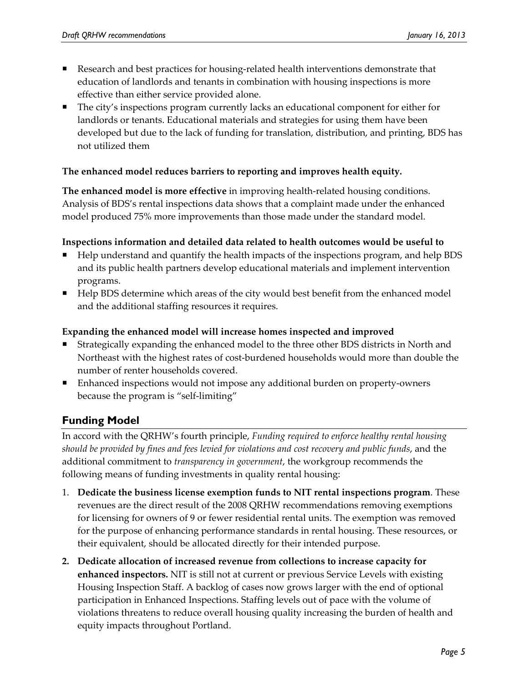- Research and best practices for housing-related health interventions demonstrate that education of landlords and tenants in combination with housing inspections is more effective than either service provided alone.
- The city's inspections program currently lacks an educational component for either for landlords or tenants. Educational materials and strategies for using them have been developed but due to the lack of funding for translation, distribution, and printing, BDS has not utilized them

#### **The enhanced model reduces barriers to reporting and improves health equity.**

**The enhanced model is more effective** in improving health‐related housing conditions. Analysis of BDS's rental inspections data shows that a complaint made under the enhanced model produced 75% more improvements than those made under the standard model.

#### **Inspections information and detailed data related to health outcomes would be useful to**

- Help understand and quantify the health impacts of the inspections program, and help BDS and its public health partners develop educational materials and implement intervention programs.
- Help BDS determine which areas of the city would best benefit from the enhanced model and the additional staffing resources it requires.

#### **Expanding the enhanced model will increase homes inspected and improved**

- Strategically expanding the enhanced model to the three other BDS districts in North and Northeast with the highest rates of cost‐burdened households would more than double the number of renter households covered.
- Enhanced inspections would not impose any additional burden on property‐owners because the program is "self‐limiting"

# **Funding Model**

In accord with the QRHW's fourth principle, *Funding required to enforce healthy rental housing should be provided by fines and fees levied for violations and cost recovery and public funds*, and the additional commitment to *transparency in government*, the workgroup recommends the following means of funding investments in quality rental housing:

- 1. **Dedicate the business license exemption funds to NIT rental inspections program**. These revenues are the direct result of the 2008 QRHW recommendations removing exemptions for licensing for owners of 9 or fewer residential rental units. The exemption was removed for the purpose of enhancing performance standards in rental housing. These resources, or their equivalent, should be allocated directly for their intended purpose.
- **2. Dedicate allocation of increased revenue from collections to increase capacity for enhanced inspectors.** NIT is still not at current or previous Service Levels with existing Housing Inspection Staff. A backlog of cases now grows larger with the end of optional participation in Enhanced Inspections. Staffing levels out of pace with the volume of violations threatens to reduce overall housing quality increasing the burden of health and equity impacts throughout Portland.